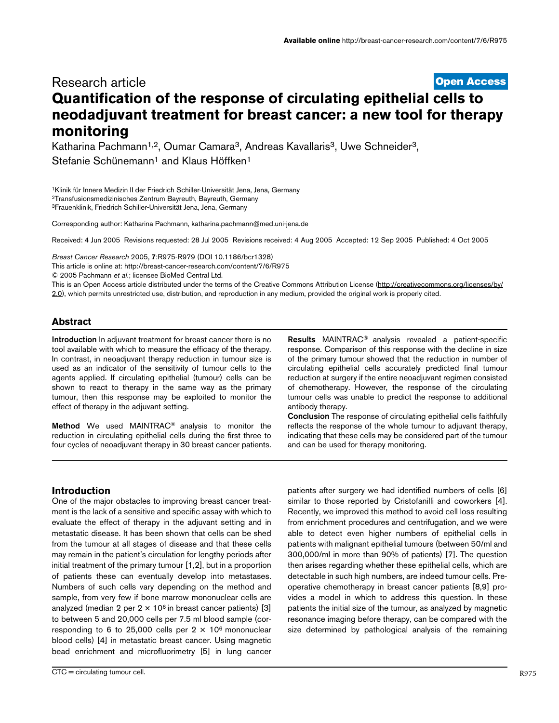# **[Open Access](http://www.biomedcentral.com/info/about/charter/)** Research article **Quantification of the response of circulating epithelial cells to neodadjuvant treatment for breast cancer: a new tool for therapy monitoring**

Katharina Pachmann<sup>1,2</sup>, Oumar Camara<sup>3</sup>, Andreas Kavallaris<sup>3</sup>, Uwe Schneider<sup>3</sup>, Stefanie Schünemann<sup>1</sup> and Klaus Höffken<sup>1</sup>

1Klinik für Innere Medizin II der Friedrich Schiller-Universität Jena, Jena, Germany 2Transfusionsmedizinisches Zentrum Bayreuth, Bayreuth, Germany 3Frauenklinik, Friedrich Schiller-Universität Jena, Jena, Germany

Corresponding author: Katharina Pachmann, katharina.pachmann@med.uni-jena.de

Received: 4 Jun 2005 Revisions requested: 28 Jul 2005 Revisions received: 4 Aug 2005 Accepted: 12 Sep 2005 Published: 4 Oct 2005

*Breast Cancer Research* 2005, **7**:R975-R979 (DOI 10.1186/bcr1328)

[This article is online at: http://breast-cancer-research.com/content/7/6/R975](http://breast-cancer-research.com/content/7/6/R975)

© 2005 Pachmann *et al*.; licensee BioMed Central Ltd.

This is an Open Access article distributed under the terms of the Creative Commons Attribution License ([http://creativecommons.org/licenses/by/](http://creativecommons.org/licenses/by/2.0) [2.0\)](http://creativecommons.org/licenses/by/2.0), which permits unrestricted use, distribution, and reproduction in any medium, provided the original work is properly cited.

# **Abstract**

**Introduction** In adjuvant treatment for breast cancer there is no tool available with which to measure the efficacy of the therapy. In contrast, in neoadjuvant therapy reduction in tumour size is used as an indicator of the sensitivity of tumour cells to the agents applied. If circulating epithelial (tumour) cells can be shown to react to therapy in the same way as the primary tumour, then this response may be exploited to monitor the effect of therapy in the adjuvant setting.

**Method** We used MAINTRAC® analysis to monitor the reduction in circulating epithelial cells during the first three to four cycles of neoadjuvant therapy in 30 breast cancer patients.

**Results** MAINTRAC® analysis revealed a patient-specific response. Comparison of this response with the decline in size of the primary tumour showed that the reduction in number of circulating epithelial cells accurately predicted final tumour reduction at surgery if the entire neoadjuvant regimen consisted of chemotherapy. However, the response of the circulating tumour cells was unable to predict the response to additional antibody therapy.

**Conclusion** The response of circulating epithelial cells faithfully reflects the response of the whole tumour to adjuvant therapy, indicating that these cells may be considered part of the tumour and can be used for therapy monitoring.

## **Introduction**

One of the major obstacles to improving breast cancer treatment is the lack of a sensitive and specific assay with which to evaluate the effect of therapy in the adjuvant setting and in metastatic disease. It has been shown that cells can be shed from the tumour at all stages of disease and that these cells may remain in the patient's circulation for lengthy periods after initial treatment of the primary tumour [1,2], but in a proportion of patients these can eventually develop into metastases. Numbers of such cells vary depending on the method and sample, from very few if bone marrow mononuclear cells are analyzed (median 2 per  $2 \times 10^6$  in breast cancer patients) [3] to between 5 and 20,000 cells per 7.5 ml blood sample (corresponding to 6 to 25,000 cells per  $2 \times 10^6$  mononuclear blood cells) [4] in metastatic breast cancer. Using magnetic bead enrichment and microfluorimetry [5] in lung cancer

patients after surgery we had identified numbers of cells [6] similar to those reported by Cristofanilli and coworkers [4]. Recently, we improved this method to avoid cell loss resulting from enrichment procedures and centrifugation, and we were able to detect even higher numbers of epithelial cells in patients with malignant epithelial tumours (between 50/ml and 300,000/ml in more than 90% of patients) [7]. The question then arises regarding whether these epithelial cells, which are detectable in such high numbers, are indeed tumour cells. Preoperative chemotherapy in breast cancer patients [8,9] provides a model in which to address this question. In these patients the initial size of the tumour, as analyzed by magnetic resonance imaging before therapy, can be compared with the size determined by pathological analysis of the remaining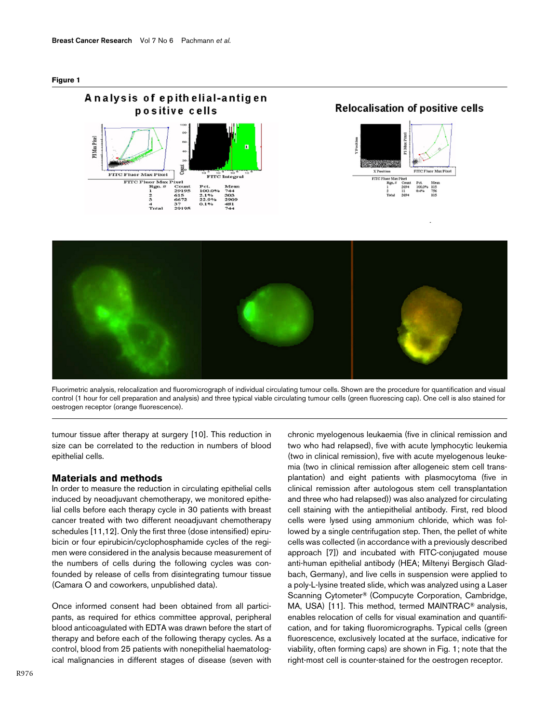#### **Figure 1**



### **Relocalisation of positive cells**





Fluorimetric analysis, relocalization and fluoromicrograph of individual circulating tumour cells. Shown are the procedure for quantification and visual control (1 hour for cell preparation and analysis) and three typical viable circulating tumour cells (green fluorescing cap). One cell is also stained for oestrogen receptor (orange fluorescence).

tumour tissue after therapy at surgery [10]. This reduction in size can be correlated to the reduction in numbers of blood epithelial cells.

### **Materials and methods**

In order to measure the reduction in circulating epithelial cells induced by neoadjuvant chemotherapy, we monitored epithelial cells before each therapy cycle in 30 patients with breast cancer treated with two different neoadjuvant chemotherapy schedules [11,12]. Only the first three (dose intensified) epirubicin or four epirubicin/cyclophosphamide cycles of the regimen were considered in the analysis because measurement of the numbers of cells during the following cycles was confounded by release of cells from disintegrating tumour tissue (Camara O and coworkers, unpublished data).

Once informed consent had been obtained from all participants, as required for ethics committee approval, peripheral blood anticoagulated with EDTA was drawn before the start of therapy and before each of the following therapy cycles. As a control, blood from 25 patients with nonepithelial haematological malignancies in different stages of disease (seven with

chronic myelogenous leukaemia (five in clinical remission and two who had relapsed), five with acute lymphocytic leukemia (two in clinical remission), five with acute myelogenous leukemia (two in clinical remission after allogeneic stem cell transplantation) and eight patients with plasmocytoma (five in clinical remission after autologous stem cell transplantation and three who had relapsed)) was also analyzed for circulating cell staining with the antiepithelial antibody. First, red blood cells were lysed using ammonium chloride, which was followed by a single centrifugation step. Then, the pellet of white cells was collected (in accordance with a previously described approach [7]) and incubated with FITC-conjugated mouse anti-human epithelial antibody (HEA; Miltenyi Bergisch Gladbach, Germany), and live cells in suspension were applied to a poly-L-lysine treated slide, which was analyzed using a Laser Scanning Cytometer® (Compucyte Corporation, Cambridge, MA, USA) [11]. This method, termed MAINTRAC® analysis, enables relocation of cells for visual examination and quantification, and for taking fluoromicrographs. Typical cells (green fluorescence, exclusively located at the surface, indicative for viability, often forming caps) are shown in Fig. 1; note that the right-most cell is counter-stained for the oestrogen receptor.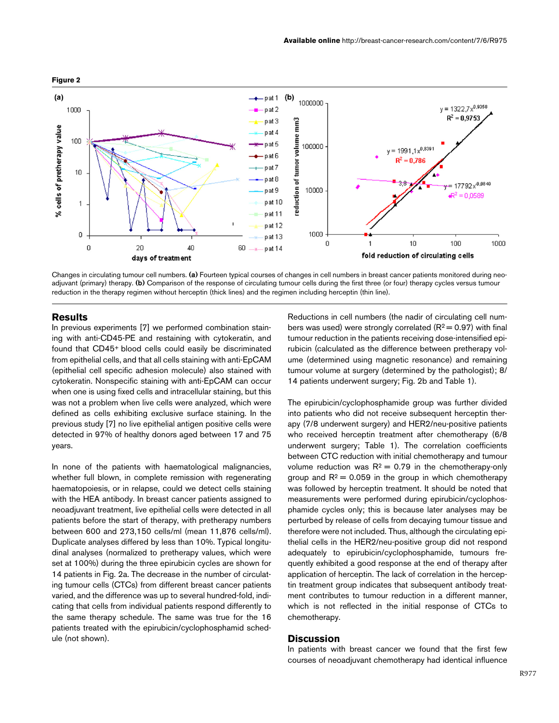

Changes in circulating tumour cell numbers. (a) Fourteen typical courses of changes in cell numbers in breast cancer patients monitored during neoadjuvant (primary) therapy. **(b)** Comparison of the response of circulating tumour cells during the first three (or four) therapy cycles versus tumour reduction in the therapy regimen without herceptin (thick lines) and the regimen including herceptin (thin line).

# **Results**

In previous experiments [7] we performed combination staining with anti-CD45-PE and restaining with cytokeratin, and found that CD45+ blood cells could easily be discriminated from epithelial cells, and that all cells staining with anti-EpCAM (epithelial cell specific adhesion molecule) also stained with cytokeratin. Nonspecific staining with anti-EpCAM can occur when one is using fixed cells and intracellular staining, but this was not a problem when live cells were analyzed, which were defined as cells exhibiting exclusive surface staining. In the previous study [7] no live epithelial antigen positive cells were detected in 97% of healthy donors aged between 17 and 75 years.

In none of the patients with haematological malignancies, whether full blown, in complete remission with regenerating haematopoiesis, or in relapse, could we detect cells staining with the HEA antibody. In breast cancer patients assigned to neoadjuvant treatment, live epithelial cells were detected in all patients before the start of therapy, with pretherapy numbers between 600 and 273,150 cells/ml (mean 11,876 cells/ml). Duplicate analyses differed by less than 10%. Typical longitudinal analyses (normalized to pretherapy values, which were set at 100%) during the three epirubicin cycles are shown for 14 patients in Fig. 2a. The decrease in the number of circulating tumour cells (CTCs) from different breast cancer patients varied, and the difference was up to several hundred-fold, indicating that cells from individual patients respond differently to the same therapy schedule. The same was true for the 16 patients treated with the epirubicin/cyclophosphamid schedule (not shown).

Reductions in cell numbers (the nadir of circulating cell numbers was used) were strongly correlated  $(R^2 = 0.97)$  with final tumour reduction in the patients receiving dose-intensified epirubicin (calculated as the difference between pretherapy volume (determined using magnetic resonance) and remaining tumour volume at surgery (determined by the pathologist); 8/ 14 patients underwent surgery; Fig. 2b and Table [1](#page-3-0)).

The epirubicin/cyclophosphamide group was further divided into patients who did not receive subsequent herceptin therapy (7/8 underwent surgery) and HER2/neu-positive patients who received herceptin treatment after chemotherapy (6/8 underwent surgery; Table [1\)](#page-3-0). The correlation coefficients between CTC reduction with initial chemotherapy and tumour volume reduction was  $R^2 = 0.79$  in the chemotherapy-only group and  $R^2 = 0.059$  in the group in which chemotherapy was followed by herceptin treatment. It should be noted that measurements were performed during epirubicin/cyclophosphamide cycles only; this is because later analyses may be perturbed by release of cells from decaying tumour tissue and therefore were not included. Thus, although the circulating epithelial cells in the HER2/neu-positive group did not respond adequately to epirubicin/cyclophosphamide, tumours frequently exhibited a good response at the end of therapy after application of herceptin. The lack of correlation in the herceptin treatment group indicates that subsequent antibody treatment contributes to tumour reduction in a different manner, which is not reflected in the initial response of CTCs to chemotherapy.

### **Discussion**

In patients with breast cancer we found that the first few courses of neoadjuvant chemotherapy had identical influence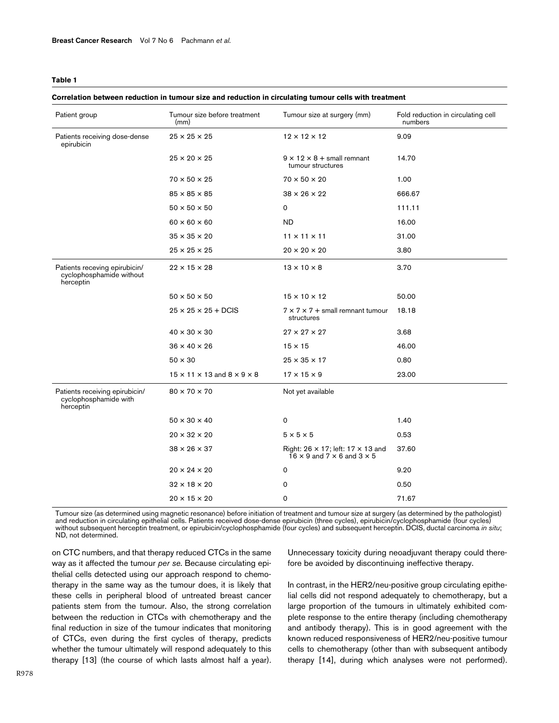#### <span id="page-3-0"></span>**Table 1**

#### **Correlation between reduction in tumour size and reduction in circulating tumour cells with treatment**

| Patient group                                                          | Tumour size before treatment<br>(mm)               | Tumour size at surgery (mm)                                                                         | Fold reduction in circulating cell<br>numbers |
|------------------------------------------------------------------------|----------------------------------------------------|-----------------------------------------------------------------------------------------------------|-----------------------------------------------|
| Patients receiving dose-dense<br>epirubicin                            | $25 \times 25 \times 25$                           | $12 \times 12 \times 12$                                                                            | 9.09                                          |
|                                                                        | $25 \times 20 \times 25$                           | $9 \times 12 \times 8 +$ small remnant<br>tumour structures                                         | 14.70                                         |
|                                                                        | $70 \times 50 \times 25$                           | $70 \times 50 \times 20$                                                                            | 1.00                                          |
|                                                                        | $85 \times 85 \times 85$                           | $38 \times 26 \times 22$                                                                            | 666.67                                        |
|                                                                        | $50 \times 50 \times 50$                           | 0                                                                                                   | 111.11                                        |
|                                                                        | $60 \times 60 \times 60$                           | <b>ND</b>                                                                                           | 16.00                                         |
|                                                                        | $35 \times 35 \times 20$                           | $11 \times 11 \times 11$                                                                            | 31.00                                         |
|                                                                        | $25 \times 25 \times 25$                           | $20 \times 20 \times 20$                                                                            | 3.80                                          |
| Patients receving epirubicin/<br>cyclophosphamide without<br>herceptin | $22 \times 15 \times 28$                           | $13 \times 10 \times 8$                                                                             | 3.70                                          |
|                                                                        | $50 \times 50 \times 50$                           | $15 \times 10 \times 12$                                                                            | 50.00                                         |
|                                                                        | $25 \times 25 \times 25 + DCIS$                    | $7 \times 7 \times 7 +$ small remnant tumour<br>structures                                          | 18.18                                         |
|                                                                        | $40 \times 30 \times 30$                           | $27 \times 27 \times 27$                                                                            | 3.68                                          |
|                                                                        | $36 \times 40 \times 26$                           | $15 \times 15$                                                                                      | 46.00                                         |
|                                                                        | $50 \times 30$                                     | $25 \times 35 \times 17$                                                                            | 0.80                                          |
|                                                                        | $15 \times 11 \times 13$ and $8 \times 9 \times 8$ | $17 \times 15 \times 9$                                                                             | 23.00                                         |
| Patients receiving epirubicin/<br>cyclophosphamide with<br>herceptin   | $80 \times 70 \times 70$                           | Not yet available                                                                                   |                                               |
|                                                                        | $50 \times 30 \times 40$                           | 0                                                                                                   | 1.40                                          |
|                                                                        | $20 \times 32 \times 20$                           | $5 \times 5 \times 5$                                                                               | 0.53                                          |
|                                                                        | $38 \times 26 \times 37$                           | Right: $26 \times 17$ ; left: $17 \times 13$ and<br>$16 \times 9$ and $7 \times 6$ and $3 \times 5$ | 37.60                                         |
|                                                                        | $20 \times 24 \times 20$                           | 0                                                                                                   | 9.20                                          |
|                                                                        | $32 \times 18 \times 20$                           | 0                                                                                                   | 0.50                                          |
|                                                                        | $20 \times 15 \times 20$                           | 0                                                                                                   | 71.67                                         |

Tumour size (as determined using magnetic resonance) before initiation of treatment and tumour size at surgery (as determined by the pathologist) and reduction in circulating epithelial cells. Patients received dose-dense epirubicin (three cycles), epirubicin/cyclophosphamide (four cycles) without subsequent herceptin treatment, or epirubicin/cyclophosphamide (four cycles) and subsequent herceptin. DCIS, ductal carcinoma *in situ*; ND, not determined.

on CTC numbers, and that therapy reduced CTCs in the same way as it affected the tumour *per se*. Because circulating epithelial cells detected using our approach respond to chemotherapy in the same way as the tumour does, it is likely that these cells in peripheral blood of untreated breast cancer patients stem from the tumour. Also, the strong correlation between the reduction in CTCs with chemotherapy and the final reduction in size of the tumour indicates that monitoring of CTCs, even during the first cycles of therapy, predicts whether the tumour ultimately will respond adequately to this therapy [13] (the course of which lasts almost half a year).

Unnecessary toxicity during neoadjuvant therapy could therefore be avoided by discontinuing ineffective therapy.

In contrast, in the HER2/neu-positive group circulating epithelial cells did not respond adequately to chemotherapy, but a large proportion of the tumours in ultimately exhibited complete response to the entire therapy (including chemotherapy and antibody therapy). This is in good agreement with the known reduced responsiveness of HER2/neu-positive tumour cells to chemotherapy (other than with subsequent antibody therapy [14], during which analyses were not performed).